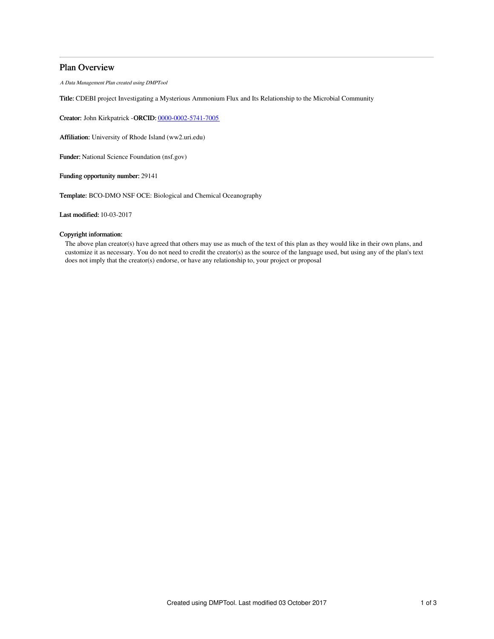# Plan Overview

A Data Management Plan created using DMPTool

Title: CDEBI project Investigating a Mysterious Ammonium Flux and Its Relationship to the Microbial Community

Creator: John Kirkpatrick -ORCID: [0000-0002-5741-7005](https://orcid.org/0000-0002-5741-7005)

Affiliation: University of Rhode Island (ww2.uri.edu)

Funder: National Science Foundation (nsf.gov)

Funding opportunity number: 29141

Template: BCO-DMO NSF OCE: Biological and Chemical Oceanography

Last modified: 10-03-2017

### Copyright information:

The above plan creator(s) have agreed that others may use as much of the text of this plan as they would like in their own plans, and customize it as necessary. You do not need to credit the creator(s) as the source of the language used, but using any of the plan's text does not imply that the creator(s) endorse, or have any relationship to, your project or proposal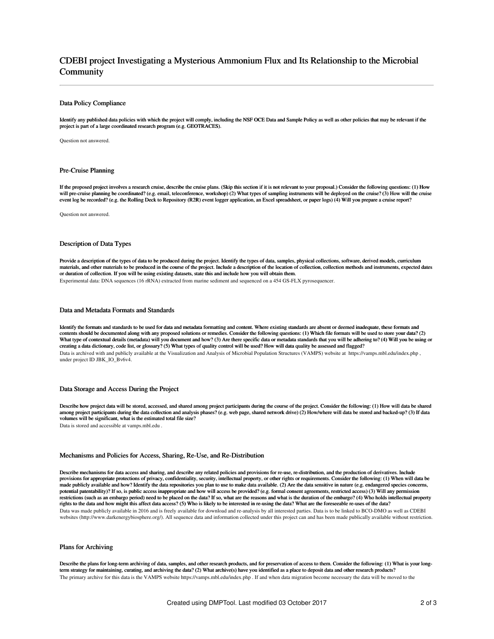# CDEBI project Investigating a Mysterious Ammonium Flux and Its Relationship to the Microbial **Community**

### Data Policy Compliance

Identify any published data policies with which the project will comply, including the NSF OCE Data and Sample Policy as well as other policies that may be relevant if the project is part of a large coordinated research program (e.g. GEOTRACES).

Question not answered.

#### Pre-Cruise Planning

If the proposed project involves a research cruise, describe the cruise plans. (Skip this section if it is not relevant to your proposal.) Consider the following questions: (1) How will pre-cruise planning be coordinated? (e.g. email, teleconference, workshop) (2) What types of sampling instruments will be deployed on the cruise? (3) How will the cruise event log be recorded? (e.g. the Rolling Deck to Repository (R2R) event logger application, an Excel spreadsheet, or paper logs) (4) Will you prepare a cruise report?

Question not answered.

### Description of Data Types

Provide a description of the types of data to be produced during the project. Identify the types of data, samples, physical collections, software, derived models, curriculum materials, and other materials to be produced in the course of the project. Include a description of the location of collection, collection methods and instruments, expected dates or duration of collection. If you will be using existing datasets, state this and include how you will obtain them. Experimental data: DNA sequences (16 rRNA) extracted from marine sediment and sequenced on a 454 GS-FLX pyrosequencer.

### Data and Metadata Formats and Standards

Identify the formats and standards to be used for data and metadata formatting and content. Where existing standards are absent or deemed inadequate, these formats and contents should be documented along with any proposed solutions or remedies. Consider the following questions: (1) Which file formats will be used to store your data? (2)<br>What type of contextual details (metadata) will you creating a data dictionary, code list, or glossary? (5) What types of quality control will be used? How will data quality be assessed and flagged? Data is archived with and publicly available at the Visualization and Analysis of Microbial Population Structures (VAMPS) website at https://vamps.mbl.edu/index.php , under project ID JBK\_IO\_Bv6v4.

### Data Storage and Access During the Project

Describe how project data will be stored, accessed, and shared among project participants during the course of the project. Consider the following: (1) How will data be shared among project participants during the data collection and analysis phases? (e.g. web page, shared network drive) (2) How/where will data be stored and backed-up? (3) If data volumes will be significant, what is the estimated total file size?

Data is stored and accessible at vamps.mbl.edu .

#### Mechanisms and Policies for Access, Sharing, Re-Use, and Re-Distribution

Describe mechanisms for data access and sharing, and describe any related policies and provisions for re-use, re-distribution, and the production of derivatives. Include provisions for appropriate protections of privacy, confidentiality, security, intellectual property, or other rights or requirements. Consider the following: (1) When will data be made publicly available and how? Identify the data repositories you plan to use to make data available. (2) Are the data sensitive in nature (e.g. endangered species concerns, potential patentability)? If so, is public access inappropriate and how will access be provided? (e.g. formal consent agreements, restricted access) (3) Will any permission restrictions (such as an embargo period) need to be placed on the data? If so, what are the reasons and what is the duration of the embargo? (4) Who holds intellectual property rights to the data and how might this affect data access? (5) Who is likely to be interested in re-using the data? What are the foreseeable re-uses of the data? Data was made publicly available in 2016 and is freely available for download and re-analysis by all interested parties. Data is to be linked to BCO-DMO as well as CDEBI websites (http://www.darkenergybiosphere.org/). All sequence data and information collected under this project can and has been made publically available without restriction.

### Plans for Archiving

Describe the plans for long-term archiving of data, samples, and other research products, and for preservation of access to them. Consider the following: (1) What is your longterm strategy for maintaining, curating, and archiving the data? (2) What archive(s) have you identified as a place to deposit data and other research products? The primary archive for this data is the VAMPS website https://vamps.mbl.edu/index.php . If and when data migration become necessary the data will be moved to the